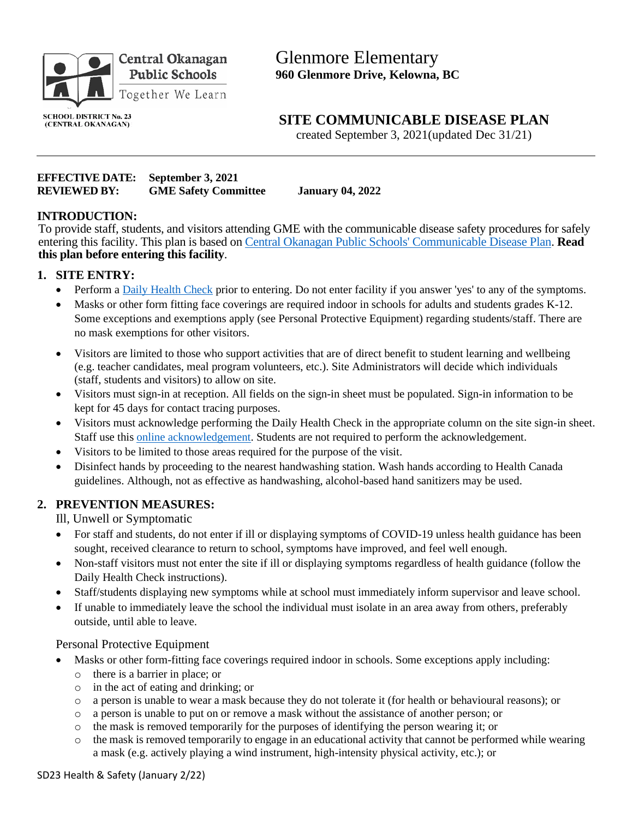

Glenmore Elementary **960 Glenmore Drive, Kelowna, BC** 

#### **SCHOOL DISTRICT No. 23** (CENTRAL OKANAGAN)

**SITE COMMUNICABLE DISEASE PLAN**

created September 3, 2021(updated Dec 31/21)

#### **EFFECTIVE DATE: September 3, 2021 REVIEWED BY: GME Safety Committee January 04, 2022**

## **INTRODUCTION:**

To provide staff, students, and visitors attending GME with the communicable disease safety procedures for safely entering this facility. This plan is based on [Central Okanagan Public Schools' Communicable Disease Plan.](http://www.sd23.bc.ca/Pages/COVID-19-Updates-.aspx?login=15051007#/=) **Read this plan before entering this facility**.

## **1. SITE ENTRY:**

- Perform a [Daily Health Check](https://www2.gov.bc.ca/assets/gov/education/kindergarten-to-grade-12/covid/daily-health-check-english.pdf) prior to entering. Do not enter facility if you answer 'yes' to any of the symptoms.
- Masks or other form fitting face coverings are required indoor in schools for adults and students grades K-12. Some exceptions and exemptions apply (see Personal Protective Equipment) regarding students/staff. There are no mask exemptions for other visitors.
- Visitors are limited to those who support activities that are of direct benefit to student learning and wellbeing (e.g. teacher candidates, meal program volunteers, etc.). Site Administrators will decide which individuals (staff, students and visitors) to allow on site.
- Visitors must sign-in at reception. All fields on the sign-in sheet must be populated. Sign-in information to be kept for 45 days for contact tracing purposes.
- Visitors must acknowledge performing the Daily Health Check in the appropriate column on the site sign-in sheet. Staff use this [online acknowledgement.](https://forms.office.com/Pages/ResponsePage.aspx?id=fm6MqPyOx0uVb-gXBFfxeIXfFjFo9mZEkQqASLPp3alUNDQwTzZMWDJPQlVaOEIzVTVUNUhSRUFQMC4u&wdLOR=cAFE4C784-9B22-4201-9333-22A089CAB21A) Students are not required to perform the acknowledgement.
- Visitors to be limited to those areas required for the purpose of the visit.
- Disinfect hands by proceeding to the nearest handwashing station. Wash hands according to Health Canada guidelines. Although, not as effective as handwashing, alcohol-based hand sanitizers may be used.

## **2. PREVENTION MEASURES:**

Ill, Unwell or Symptomatic

- For staff and students, do not enter if ill or displaying symptoms of COVID-19 unless health guidance has been sought, received clearance to return to school, symptoms have improved, and feel well enough.
- Non-staff visitors must not enter the site if ill or displaying symptoms regardless of health guidance (follow the Daily Health Check instructions).
- Staff/students displaying new symptoms while at school must immediately inform supervisor and leave school.
- If unable to immediately leave the school the individual must isolate in an area away from others, preferably outside, until able to leave.

#### Personal Protective Equipment

- Masks or other form-fitting face coverings required indoor in schools. Some exceptions apply including:
	- o there is a barrier in place; or
	- o in the act of eating and drinking; or
	- o a person is unable to wear a mask because they do not tolerate it (for health or behavioural reasons); or
	- o a person is unable to put on or remove a mask without the assistance of another person; or
	- $\circ$  the mask is removed temporarily for the purposes of identifying the person wearing it; or
	- o the mask is removed temporarily to engage in an educational activity that cannot be performed while wearing a mask (e.g. actively playing a wind instrument, high-intensity physical activity, etc.); or